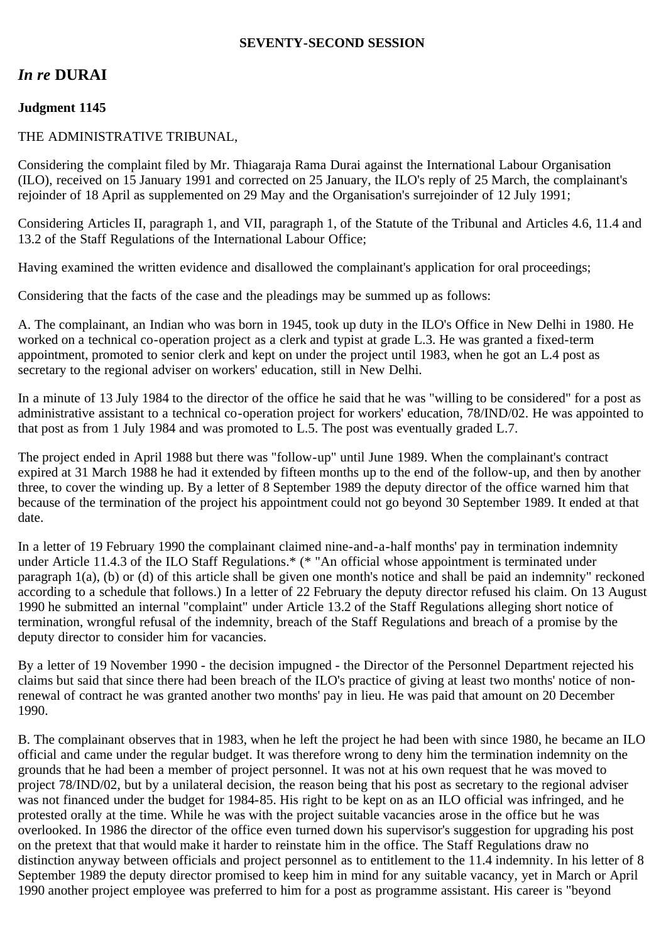## **SEVENTY-SECOND SESSION**

# *In re* **DURAI**

# **Judgment 1145**

#### THE ADMINISTRATIVE TRIBUNAL,

Considering the complaint filed by Mr. Thiagaraja Rama Durai against the International Labour Organisation (ILO), received on 15 January 1991 and corrected on 25 January, the ILO's reply of 25 March, the complainant's rejoinder of 18 April as supplemented on 29 May and the Organisation's surrejoinder of 12 July 1991;

Considering Articles II, paragraph 1, and VII, paragraph 1, of the Statute of the Tribunal and Articles 4.6, 11.4 and 13.2 of the Staff Regulations of the International Labour Office;

Having examined the written evidence and disallowed the complainant's application for oral proceedings;

Considering that the facts of the case and the pleadings may be summed up as follows:

A. The complainant, an Indian who was born in 1945, took up duty in the ILO's Office in New Delhi in 1980. He worked on a technical co-operation project as a clerk and typist at grade L.3. He was granted a fixed-term appointment, promoted to senior clerk and kept on under the project until 1983, when he got an L.4 post as secretary to the regional adviser on workers' education, still in New Delhi.

In a minute of 13 July 1984 to the director of the office he said that he was "willing to be considered" for a post as administrative assistant to a technical co-operation project for workers' education, 78/IND/02. He was appointed to that post as from 1 July 1984 and was promoted to L.5. The post was eventually graded L.7.

The project ended in April 1988 but there was "follow-up" until June 1989. When the complainant's contract expired at 31 March 1988 he had it extended by fifteen months up to the end of the follow-up, and then by another three, to cover the winding up. By a letter of 8 September 1989 the deputy director of the office warned him that because of the termination of the project his appointment could not go beyond 30 September 1989. It ended at that date.

In a letter of 19 February 1990 the complainant claimed nine-and-a-half months' pay in termination indemnity under Article 11.4.3 of the ILO Staff Regulations.\* (\* "An official whose appointment is terminated under paragraph 1(a), (b) or (d) of this article shall be given one month's notice and shall be paid an indemnity" reckoned according to a schedule that follows.) In a letter of 22 February the deputy director refused his claim. On 13 August 1990 he submitted an internal "complaint" under Article 13.2 of the Staff Regulations alleging short notice of termination, wrongful refusal of the indemnity, breach of the Staff Regulations and breach of a promise by the deputy director to consider him for vacancies.

By a letter of 19 November 1990 - the decision impugned - the Director of the Personnel Department rejected his claims but said that since there had been breach of the ILO's practice of giving at least two months' notice of nonrenewal of contract he was granted another two months' pay in lieu. He was paid that amount on 20 December 1990.

B. The complainant observes that in 1983, when he left the project he had been with since 1980, he became an ILO official and came under the regular budget. It was therefore wrong to deny him the termination indemnity on the grounds that he had been a member of project personnel. It was not at his own request that he was moved to project 78/IND/02, but by a unilateral decision, the reason being that his post as secretary to the regional adviser was not financed under the budget for 1984-85. His right to be kept on as an ILO official was infringed, and he protested orally at the time. While he was with the project suitable vacancies arose in the office but he was overlooked. In 1986 the director of the office even turned down his supervisor's suggestion for upgrading his post on the pretext that that would make it harder to reinstate him in the office. The Staff Regulations draw no distinction anyway between officials and project personnel as to entitlement to the 11.4 indemnity. In his letter of 8 September 1989 the deputy director promised to keep him in mind for any suitable vacancy, yet in March or April 1990 another project employee was preferred to him for a post as programme assistant. His career is "beyond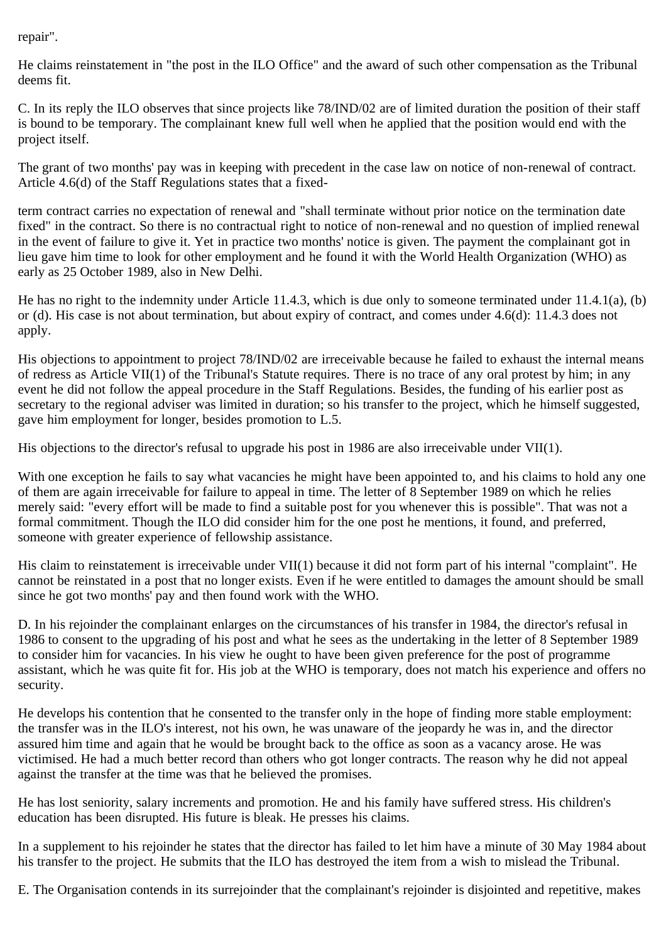repair".

He claims reinstatement in "the post in the ILO Office" and the award of such other compensation as the Tribunal deems fit.

C. In its reply the ILO observes that since projects like 78/IND/02 are of limited duration the position of their staff is bound to be temporary. The complainant knew full well when he applied that the position would end with the project itself.

The grant of two months' pay was in keeping with precedent in the case law on notice of non-renewal of contract. Article 4.6(d) of the Staff Regulations states that a fixed-

term contract carries no expectation of renewal and "shall terminate without prior notice on the termination date fixed" in the contract. So there is no contractual right to notice of non-renewal and no question of implied renewal in the event of failure to give it. Yet in practice two months' notice is given. The payment the complainant got in lieu gave him time to look for other employment and he found it with the World Health Organization (WHO) as early as 25 October 1989, also in New Delhi.

He has no right to the indemnity under Article 11.4.3, which is due only to someone terminated under 11.4.1(a), (b) or (d). His case is not about termination, but about expiry of contract, and comes under 4.6(d): 11.4.3 does not apply.

His objections to appointment to project 78/IND/02 are irreceivable because he failed to exhaust the internal means of redress as Article VII(1) of the Tribunal's Statute requires. There is no trace of any oral protest by him; in any event he did not follow the appeal procedure in the Staff Regulations. Besides, the funding of his earlier post as secretary to the regional adviser was limited in duration; so his transfer to the project, which he himself suggested, gave him employment for longer, besides promotion to L.5.

His objections to the director's refusal to upgrade his post in 1986 are also irreceivable under VII(1).

With one exception he fails to say what vacancies he might have been appointed to, and his claims to hold any one of them are again irreceivable for failure to appeal in time. The letter of 8 September 1989 on which he relies merely said: "every effort will be made to find a suitable post for you whenever this is possible". That was not a formal commitment. Though the ILO did consider him for the one post he mentions, it found, and preferred, someone with greater experience of fellowship assistance.

His claim to reinstatement is irreceivable under VII(1) because it did not form part of his internal "complaint". He cannot be reinstated in a post that no longer exists. Even if he were entitled to damages the amount should be small since he got two months' pay and then found work with the WHO.

D. In his rejoinder the complainant enlarges on the circumstances of his transfer in 1984, the director's refusal in 1986 to consent to the upgrading of his post and what he sees as the undertaking in the letter of 8 September 1989 to consider him for vacancies. In his view he ought to have been given preference for the post of programme assistant, which he was quite fit for. His job at the WHO is temporary, does not match his experience and offers no security.

He develops his contention that he consented to the transfer only in the hope of finding more stable employment: the transfer was in the ILO's interest, not his own, he was unaware of the jeopardy he was in, and the director assured him time and again that he would be brought back to the office as soon as a vacancy arose. He was victimised. He had a much better record than others who got longer contracts. The reason why he did not appeal against the transfer at the time was that he believed the promises.

He has lost seniority, salary increments and promotion. He and his family have suffered stress. His children's education has been disrupted. His future is bleak. He presses his claims.

In a supplement to his rejoinder he states that the director has failed to let him have a minute of 30 May 1984 about his transfer to the project. He submits that the ILO has destroyed the item from a wish to mislead the Tribunal.

E. The Organisation contends in its surrejoinder that the complainant's rejoinder is disjointed and repetitive, makes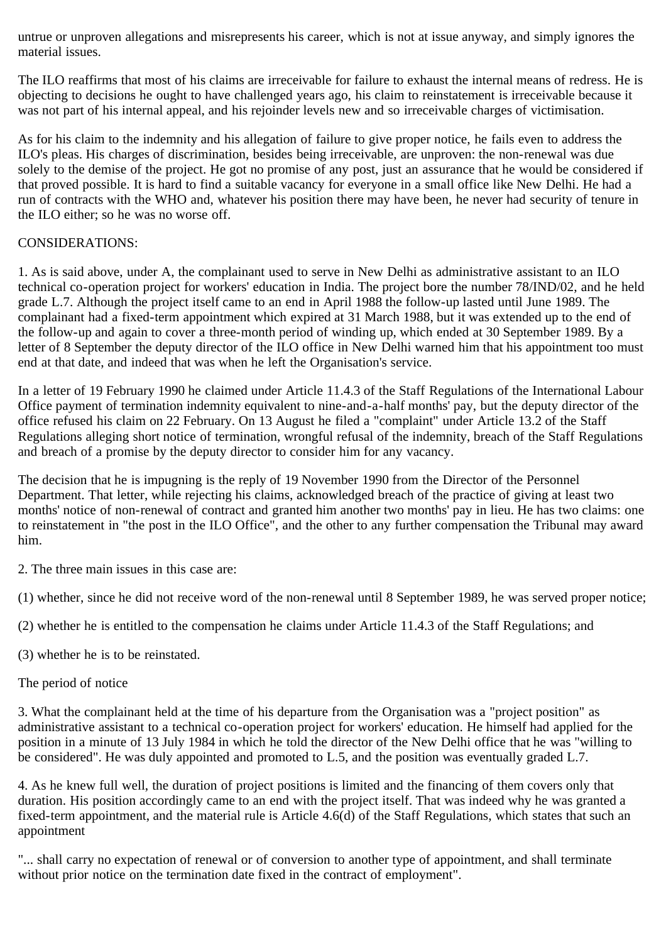untrue or unproven allegations and misrepresents his career, which is not at issue anyway, and simply ignores the material issues.

The ILO reaffirms that most of his claims are irreceivable for failure to exhaust the internal means of redress. He is objecting to decisions he ought to have challenged years ago, his claim to reinstatement is irreceivable because it was not part of his internal appeal, and his rejoinder levels new and so irreceivable charges of victimisation.

As for his claim to the indemnity and his allegation of failure to give proper notice, he fails even to address the ILO's pleas. His charges of discrimination, besides being irreceivable, are unproven: the non-renewal was due solely to the demise of the project. He got no promise of any post, just an assurance that he would be considered if that proved possible. It is hard to find a suitable vacancy for everyone in a small office like New Delhi. He had a run of contracts with the WHO and, whatever his position there may have been, he never had security of tenure in the ILO either; so he was no worse off.

## CONSIDERATIONS:

1. As is said above, under A, the complainant used to serve in New Delhi as administrative assistant to an ILO technical co-operation project for workers' education in India. The project bore the number 78/IND/02, and he held grade L.7. Although the project itself came to an end in April 1988 the follow-up lasted until June 1989. The complainant had a fixed-term appointment which expired at 31 March 1988, but it was extended up to the end of the follow-up and again to cover a three-month period of winding up, which ended at 30 September 1989. By a letter of 8 September the deputy director of the ILO office in New Delhi warned him that his appointment too must end at that date, and indeed that was when he left the Organisation's service.

In a letter of 19 February 1990 he claimed under Article 11.4.3 of the Staff Regulations of the International Labour Office payment of termination indemnity equivalent to nine-and-a-half months' pay, but the deputy director of the office refused his claim on 22 February. On 13 August he filed a "complaint" under Article 13.2 of the Staff Regulations alleging short notice of termination, wrongful refusal of the indemnity, breach of the Staff Regulations and breach of a promise by the deputy director to consider him for any vacancy.

The decision that he is impugning is the reply of 19 November 1990 from the Director of the Personnel Department. That letter, while rejecting his claims, acknowledged breach of the practice of giving at least two months' notice of non-renewal of contract and granted him another two months' pay in lieu. He has two claims: one to reinstatement in "the post in the ILO Office", and the other to any further compensation the Tribunal may award him.

2. The three main issues in this case are:

(1) whether, since he did not receive word of the non-renewal until 8 September 1989, he was served proper notice;

(2) whether he is entitled to the compensation he claims under Article 11.4.3 of the Staff Regulations; and

(3) whether he is to be reinstated.

# The period of notice

3. What the complainant held at the time of his departure from the Organisation was a "project position" as administrative assistant to a technical co-operation project for workers' education. He himself had applied for the position in a minute of 13 July 1984 in which he told the director of the New Delhi office that he was "willing to be considered". He was duly appointed and promoted to L.5, and the position was eventually graded L.7.

4. As he knew full well, the duration of project positions is limited and the financing of them covers only that duration. His position accordingly came to an end with the project itself. That was indeed why he was granted a fixed-term appointment, and the material rule is Article 4.6(d) of the Staff Regulations, which states that such an appointment

"... shall carry no expectation of renewal or of conversion to another type of appointment, and shall terminate without prior notice on the termination date fixed in the contract of employment".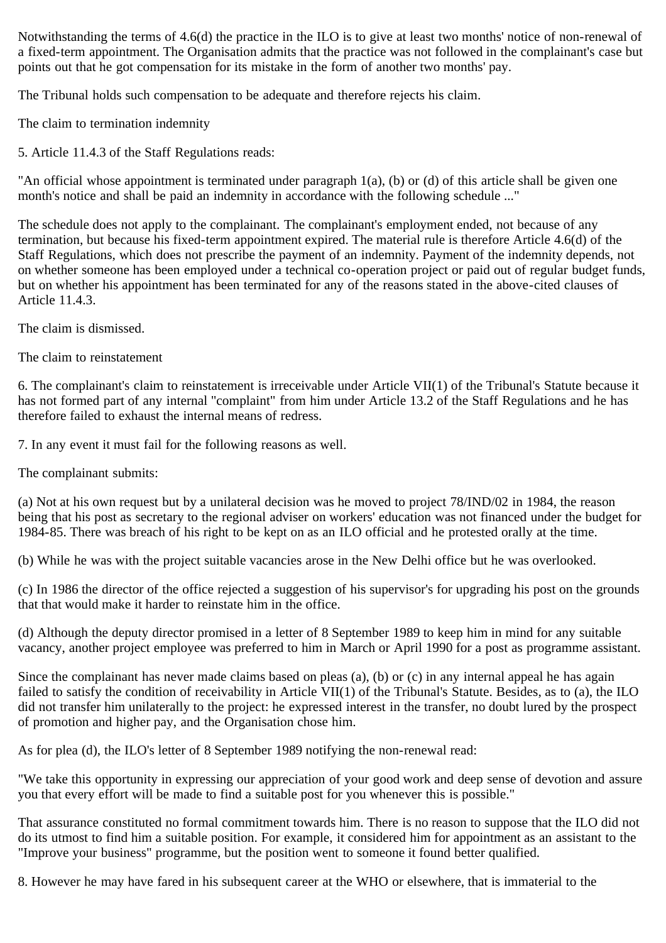Notwithstanding the terms of 4.6(d) the practice in the ILO is to give at least two months' notice of non-renewal of a fixed-term appointment. The Organisation admits that the practice was not followed in the complainant's case but points out that he got compensation for its mistake in the form of another two months' pay.

The Tribunal holds such compensation to be adequate and therefore rejects his claim.

The claim to termination indemnity

5. Article 11.4.3 of the Staff Regulations reads:

"An official whose appointment is terminated under paragraph 1(a), (b) or (d) of this article shall be given one month's notice and shall be paid an indemnity in accordance with the following schedule ..."

The schedule does not apply to the complainant. The complainant's employment ended, not because of any termination, but because his fixed-term appointment expired. The material rule is therefore Article 4.6(d) of the Staff Regulations, which does not prescribe the payment of an indemnity. Payment of the indemnity depends, not on whether someone has been employed under a technical co-operation project or paid out of regular budget funds, but on whether his appointment has been terminated for any of the reasons stated in the above-cited clauses of Article 11.4.3.

The claim is dismissed.

The claim to reinstatement

6. The complainant's claim to reinstatement is irreceivable under Article VII(1) of the Tribunal's Statute because it has not formed part of any internal "complaint" from him under Article 13.2 of the Staff Regulations and he has therefore failed to exhaust the internal means of redress.

7. In any event it must fail for the following reasons as well.

The complainant submits:

(a) Not at his own request but by a unilateral decision was he moved to project 78/IND/02 in 1984, the reason being that his post as secretary to the regional adviser on workers' education was not financed under the budget for 1984-85. There was breach of his right to be kept on as an ILO official and he protested orally at the time.

(b) While he was with the project suitable vacancies arose in the New Delhi office but he was overlooked.

(c) In 1986 the director of the office rejected a suggestion of his supervisor's for upgrading his post on the grounds that that would make it harder to reinstate him in the office.

(d) Although the deputy director promised in a letter of 8 September 1989 to keep him in mind for any suitable vacancy, another project employee was preferred to him in March or April 1990 for a post as programme assistant.

Since the complainant has never made claims based on pleas (a), (b) or (c) in any internal appeal he has again failed to satisfy the condition of receivability in Article VII(1) of the Tribunal's Statute. Besides, as to (a), the ILO did not transfer him unilaterally to the project: he expressed interest in the transfer, no doubt lured by the prospect of promotion and higher pay, and the Organisation chose him.

As for plea (d), the ILO's letter of 8 September 1989 notifying the non-renewal read:

"We take this opportunity in expressing our appreciation of your good work and deep sense of devotion and assure you that every effort will be made to find a suitable post for you whenever this is possible."

That assurance constituted no formal commitment towards him. There is no reason to suppose that the ILO did not do its utmost to find him a suitable position. For example, it considered him for appointment as an assistant to the "Improve your business" programme, but the position went to someone it found better qualified.

8. However he may have fared in his subsequent career at the WHO or elsewhere, that is immaterial to the